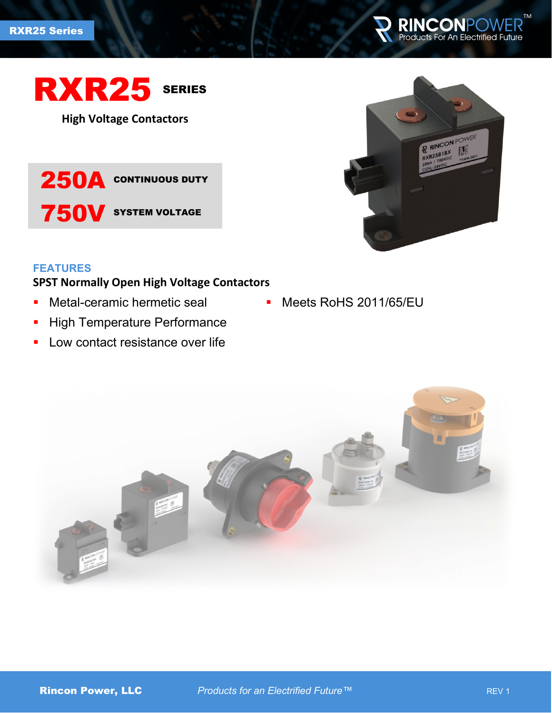



**High Voltage Contactors**





## **FEATURES**

# **SPST Normally Open High Voltage Contactors**

- **Metal-ceramic hermetic seal**
- **-** High Temperature Performance
- **Low contact resistance over life**
- **Meets RoHS 2011/65/EU**

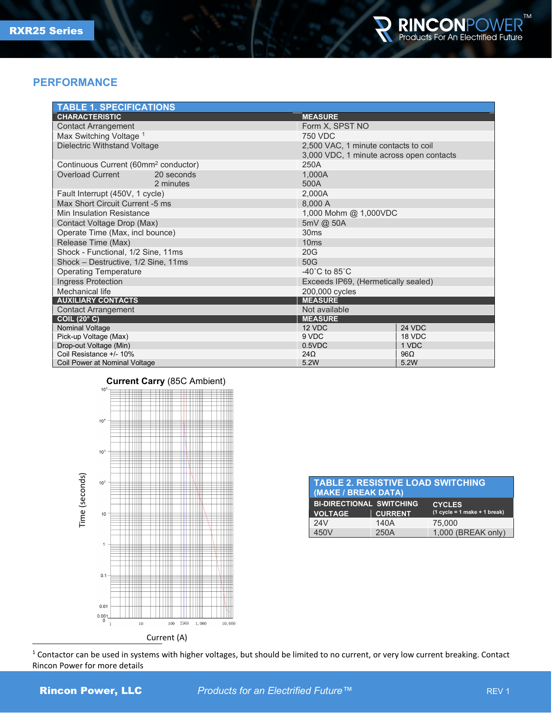

### **PERFORMANCE**

| <b>TABLE 1. SPECIFICATIONS</b>                   |                         |                                                                                  |             |  |
|--------------------------------------------------|-------------------------|----------------------------------------------------------------------------------|-------------|--|
| <b>CHARACTERISTIC</b>                            |                         | <b>MEASURE</b>                                                                   |             |  |
| <b>Contact Arrangement</b>                       |                         | Form X, SPST NO                                                                  |             |  |
| Max Switching Voltage 1                          |                         | 750 VDC                                                                          |             |  |
| Dielectric Withstand Voltage                     |                         | 2,500 VAC, 1 minute contacts to coil<br>3,000 VDC, 1 minute across open contacts |             |  |
| Continuous Current (60mm <sup>2</sup> conductor) |                         | 250A                                                                             |             |  |
| <b>Overload Current</b>                          | 20 seconds<br>2 minutes | 1.000A<br>500A                                                                   |             |  |
| Fault Interrupt (450V, 1 cycle)                  |                         | 2,000A                                                                           |             |  |
| Max Short Circuit Current -5 ms                  |                         | 8,000 A                                                                          |             |  |
| Min Insulation Resistance                        |                         | 1,000 Mohm @ 1,000VDC                                                            |             |  |
| Contact Voltage Drop (Max)                       |                         | 5mV @ 50A                                                                        |             |  |
| Operate Time (Max, incl bounce)                  |                         | 30ms                                                                             |             |  |
| Release Time (Max)                               |                         | 10ms                                                                             |             |  |
| Shock - Functional, 1/2 Sine, 11ms               |                         | 20G                                                                              |             |  |
| Shock - Destructive, 1/2 Sine, 11ms              |                         | 50G                                                                              |             |  |
| <b>Operating Temperature</b>                     |                         | $-40^{\circ}$ C to 85 $^{\circ}$ C                                               |             |  |
| <b>Ingress Protection</b>                        |                         | Exceeds IP69, (Hermetically sealed)                                              |             |  |
| Mechanical life                                  |                         | 200,000 cycles                                                                   |             |  |
| <b>AUXILIARY CONTACTS</b>                        |                         | <b>MEASURE</b>                                                                   |             |  |
| <b>Contact Arrangement</b>                       |                         | Not available                                                                    |             |  |
| <b>COIL (20° C)</b>                              |                         | <b>MEASURE</b>                                                                   |             |  |
| Nominal Voltage                                  |                         | 12 VDC                                                                           | 24 VDC      |  |
| Pick-up Voltage (Max)                            |                         | 9 VDC                                                                            | 18 VDC      |  |
| Drop-out Voltage (Min)                           |                         | $0.5$ VDC                                                                        | 1 VDC       |  |
| Coil Resistance +/- 10%                          |                         | $24\Omega$<br>5.2W                                                               | 96Ω<br>5.2W |  |
| Coil Power at Nominal Voltage                    |                         |                                                                                  |             |  |

#### **Current Carry** (85C Ambient)



| <b>TABLE 2. RESISTIVE LOAD SWITCHING</b><br>(MAKE / BREAK DATA) |                |                                                 |  |  |
|-----------------------------------------------------------------|----------------|-------------------------------------------------|--|--|
| <b>BI-DIRECTIONAL SWITCHING</b><br><b>VOLTAGE</b>               | <b>CURRENT</b> | <b>CYCLES</b><br>$(1 cycle = 1 make + 1 break)$ |  |  |
| 24V                                                             | 140A           | 75,000                                          |  |  |
| 450V                                                            | 250A           | 1,000 (BREAK only)                              |  |  |

<span id="page-1-0"></span><sup>1</sup> Contactor can be used in systems with higher voltages, but should be limited to no current, or very low current breaking. Contact Rincon Power for more details